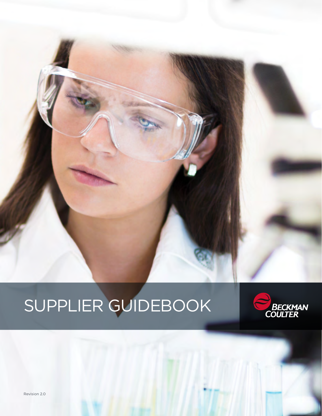# SUPPLIER GUIDEBOOK



Revision 2.0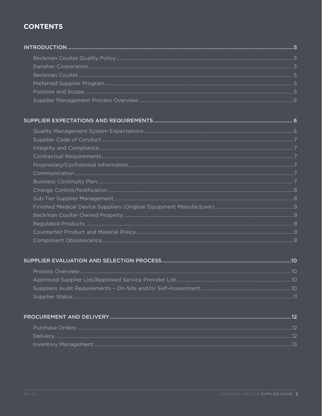# **CONTENTS**

# 

| r reprictary, companies in the companies of the companies of the communication and the communication and the c |  |
|----------------------------------------------------------------------------------------------------------------|--|
|                                                                                                                |  |
|                                                                                                                |  |
|                                                                                                                |  |
|                                                                                                                |  |
|                                                                                                                |  |
|                                                                                                                |  |
|                                                                                                                |  |
|                                                                                                                |  |

# 

| 01. بستين بين المستندر المستندر المستندر المستندر المستندر المستندر المستندر المستندر المستندر المستندر المستندر المستندر المستندر المستندر المستندر المستندر المستندر المستندر المستندر المستندر المستندر المستندر المستندر ا |  |
|--------------------------------------------------------------------------------------------------------------------------------------------------------------------------------------------------------------------------------|--|
|                                                                                                                                                                                                                                |  |
|                                                                                                                                                                                                                                |  |
|                                                                                                                                                                                                                                |  |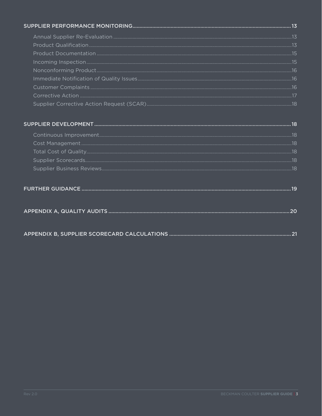|--|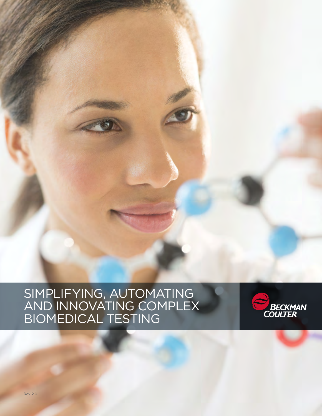

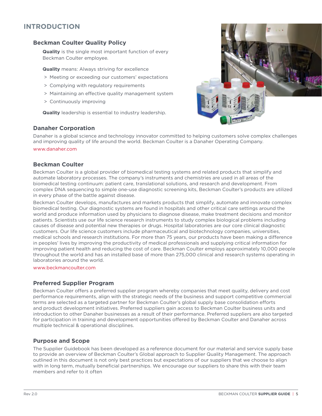# <span id="page-4-0"></span>**INTRODUCTION**

## <span id="page-4-1"></span>**Beckman Coulter Quality Policy**

**Quality** is the single most important function of every Beckman Coulter employee.

**Quality** means: Always striving for excellence

- > Meeting or exceeding our customers' expectations
- > Complying with regulatory requirements
- > Maintaining an effective quality management system
- > Continuously improving

**Quality** leadership is essential to industry leadership.

#### <span id="page-4-2"></span>**Danaher Corporation**



Danaher is a global science and technology innovator committed to helping customers solve complex challenges and improving quality of life around the world. Beckman Coulter is a Danaher Operating Company.

#### [www.danaher.com](http://www.danaher.com)

#### <span id="page-4-3"></span>**Beckman Coulter**

Beckman Coulter is a global provider of biomedical testing systems and related products that simplify and automate laboratory processes. The company's instruments and chemistries are used in all areas of the biomedical testing continuum: patient care, translational solutions, and research and development. From complex DNA sequencing to simple one-use diagnostic screening kits, Beckman Coulter's products are utilized in every phase of the battle against disease.

Beckman Coulter develops, manufactures and markets products that simplify, automate and innovate complex biomedical testing. Our diagnostic systems are found in hospitals and other critical care settings around the world and produce information used by physicians to diagnose disease, make treatment decisions and monitor patients. Scientists use our life science research instruments to study complex biological problems including causes of disease and potential new therapies or drugs. Hospital laboratories are our core clinical diagnostic customers. Our life science customers include pharmaceutical and biotechnology companies, universities, medical schools and research institutions. For more than 75 years, our products have been making a difference in peoples' lives by improving the productivity of medical professionals and supplying critical information for improving patient health and reducing the cost of care. Beckman Coulter employs approximately 10,000 people throughout the world and has an installed base of more than 275,000 clinical and research systems operating in laboratories around the world.

#### [www.beckmancoulter.com](http://www.beckmancoulter.com)

#### <span id="page-4-4"></span>**Preferred Supplier Program**

Beckman Coulter offers a preferred supplier program whereby companies that meet quality, delivery and cost performance requirements, align with the strategic needs of the business and support competitive commercial terms are selected as a targeted partner for Beckman Coulter's global supply base consolidation efforts and product development initiatives. Preferred suppliers gain access to Beckman Coulter business units and introduction to other Danaher businesses as a result of their performance. Preferred suppliers are also targeted for participation in training and development opportunities offered by Beckman Coulter and Danaher across multiple technical & operational disciplines.

#### <span id="page-4-5"></span>**Purpose and Scope**

The Supplier Guidebook has been developed as a reference document for our material and service supply base to provide an overview of Beckman Coulter's Global approach to Supplier Quality Management. The approach outlined in this document is not only best practices but expectations of our suppliers that we choose to align with in long term, mutually beneficial partnerships. We encourage our suppliers to share this with their team members and refer to it often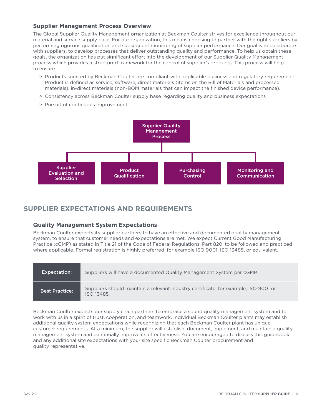# <span id="page-5-0"></span>**Supplier Management Process Overview**

The Global Supplier Quality Management organization at Beckman Coulter strives for excellence throughout our material and service supply base. For our organization, this means choosing to partner with the right suppliers by performing rigorous qualification and subsequent monitoring of supplier performance. Our goal is to collaborate with suppliers, to develop processes that deliver outstanding quality and performance. To help us obtain these goals, the organization has put significant effort into the development of our Supplier Quality Management process which provides a structured framework for the control of supplier's products. This process will help to ensure:

- > Products sourced by Beckman Coulter are compliant with applicable business and regulatory requirements. Product is defined as service, software, direct materials (items on the Bill of Materials and processed materials), in-direct materials (non-BOM materials that can impact the finished device performance).
- > Consistency across Beckman Coulter supply base regarding quality and business expectations
- > Pursuit of continuous improvement



# <span id="page-5-1"></span>**SUPPLIER EXPECTATIONS AND REQUIREMENTS**

# <span id="page-5-2"></span>**Quality Management System Expectations**

Beckman Coulter expects its supplier partners to have an effective and documented quality management system, to ensure that customer needs and expectations are met. We expect Current Good Manufacturing Practice (cGMP) as stated in Title 21 of the Code of Federal Regulations, Part 820, to be followed and practiced where applicable. Formal registration is highly preferred, for example ISO 9001, ISO 13485, or equivalent.

| Expectation:          | Suppliers will have a documented Quality Management System per cGMP.                              |
|-----------------------|---------------------------------------------------------------------------------------------------|
| <b>Best Practice:</b> | Suppliers should maintain a relevant industry certificate, for example, ISO 9001 or<br>ISO 13485. |

Beckman Coulter expects our supply chain partners to embrace a sound quality management system and to work with us in a spirit of trust, cooperation, and teamwork. Individual Beckman Coulter plants may establish additional quality system expectations while recognizing that each Beckman Coulter plant has unique customer requirements. At a minimum, the supplier will establish, document, implement, and maintain a quality management system and continually improve its effectiveness. You are encouraged to discuss this guidebook and any additional site expectations with your site specific Beckman Coulter procurement and quality representative.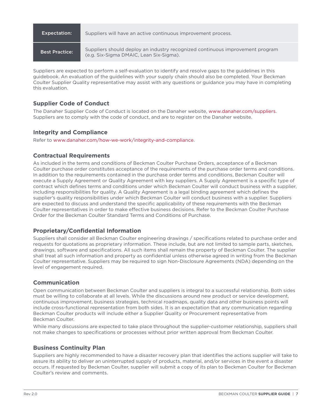| <b>Expectation:</b>   | Suppliers will have an active continuous improvement process.                                                            |
|-----------------------|--------------------------------------------------------------------------------------------------------------------------|
| <b>Best Practice:</b> | Suppliers should deploy an industry recognized continuous improvement program<br>(e.g. Six-Sigma DMAIC, Lean Six-Sigma). |

Suppliers are expected to perform a self-evaluation to identify and resolve gaps to the guidelines in this guidebook. An evaluation of the guidelines with your supply chain should also be completed. Your Beckman Coulter Supplier Quality representative may assist with any questions or guidance you may have in completing this evaluation.

# <span id="page-6-0"></span>**Supplier Code of Conduct**

The Danaher Supplier Code of Conduct is located on the Danaher website, [www.danaher.com/suppliers](http://www.danaher.com/suppliers). Suppliers are to comply with the code of conduct, and are to register on the Danaher website.

# <span id="page-6-1"></span>**Integrity and Compliance**

Refer to [www.danaher.com/how-we-work/integrity-and-compliance](http://www.danaher.com/how-we-work/integrity-and-compliance).

# <span id="page-6-2"></span>**Contractual Requirements**

As included in the terms and conditions of Beckman Coulter Purchase Orders, acceptance of a Beckman Coulter purchase order constitutes acceptance of the requirements of the purchase order terms and conditions. In addition to the requirements contained in the purchase order terms and conditions, Beckman Coulter will execute a Supply Agreement or Quality Agreement with key suppliers. A Supply Agreement is a specific type of contract which defines terms and conditions under which Beckman Coulter will conduct business with a supplier, including responsibilities for quality. A Quality Agreement is a legal binding agreement which defines the supplier's quality responsibilities under which Beckman Coulter will conduct business with a supplier. Suppliers are expected to discuss and understand the specific applicability of these requirements with the Beckman Coulter representatives in order to make effective business decisions. Refer to the Beckman Coulter Purchase Order for the Beckman Coulter Standard Terms and Conditions of Purchase.

# <span id="page-6-3"></span>**Proprietary/Confidential Information**

Suppliers shall consider all Beckman Coulter engineering drawings / specifications related to purchase order and requests for quotations as proprietary information. These include, but are not limited to sample parts, sketches, drawings, software and specifications. All such items shall remain the property of Beckman Coulter. The supplier shall treat all such information and property as confidential unless otherwise agreed in writing from the Beckman Coulter representative. Suppliers may be required to sign Non-Disclosure Agreements (NDA) depending on the level of engagement required.

# <span id="page-6-4"></span>**Communication**

Open communication between Beckman Coulter and suppliers is integral to a successful relationship. Both sides must be willing to collaborate at all levels. While the discussions around new product or service development, continuous improvement, business strategies, technical roadmaps, quality data and other business points will include cross-functional representation from both sides. It is an expectation that any communication regarding Beckman Coulter products will include either a Supplier Quality or Procurement representative from Beckman Coulter.

While many discussions are expected to take place throughout the supplier-customer relationship, suppliers shall not make changes to specifications or processes without prior written approval from Beckman Coulter.

# <span id="page-6-5"></span>**Business Continuity Plan**

Suppliers are highly recommended to have a disaster recovery plan that identifies the actions supplier will take to assure its ability to deliver an uninterrupted supply of products, material, and/or services in the event a disaster occurs. If requested by Beckman Coulter, supplier will submit a copy of its plan to Beckman Coulter for Beckman Coulter's review and comments.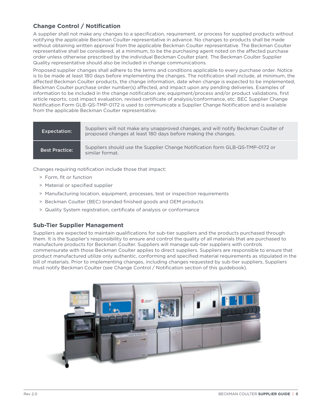# <span id="page-7-0"></span>**Change Control / Notification**

A supplier shall not make any changes to a specification, requirement, or process for supplied products without notifying the applicable Beckman Coulter representative in advance. No changes to products shall be made without obtaining written approval from the applicable Beckman Coulter representative. The Beckman Coulter representative shall be considered, at a minimum, to be the purchasing agent noted on the affected purchase order unless otherwise prescribed by the individual Beckman Coulter plant. The Beckman Coulter Supplier Quality representative should also be included in change communications.

Proposed supplier changes shall adhere to the terms and conditions applicable to every purchase order. Notice is to be made at least 180 days before implementing the changes. The notification shall include, at minimum, the affected Beckman Coulter products, the change information, date when change is expected to be implemented, Beckman Coulter purchase order number(s) affected, and impact upon any pending deliveries. Examples of information to be included in the change notification are; equipment/process and/or product validations, first article reports, cost impact evaluation, revised certificate of analysis/conformance, etc. BEC Supplier Change Notification Form GLB-QS-TMP-0172 is used to communicate a Supplier Change Notification and is available from the applicable Beckman Coulter representative.

| <b>Expectation:</b>   | Suppliers will not make any unapproved changes, and will notify Beckman Coulter of<br>proposed changes at least 180 days before making the changes. |
|-----------------------|-----------------------------------------------------------------------------------------------------------------------------------------------------|
| <b>Best Practice:</b> | Suppliers should use the Supplier Change Notification form GLB-QS-TMP-0172 or<br>similar format.                                                    |

Changes requiring notification include those that impact:

- > Form, fit or function
- > Material or specified supplier
- > Manufacturing location, equipment, processes, test or inspection requirements
- > Beckman Coulter (BEC) branded finished goods and OEM products
- > Quality System registration, certificate of analysis or conformance

# <span id="page-7-1"></span>**Sub-Tier Supplier Management**

Suppliers are expected to maintain qualifications for sub-tier suppliers and the products purchased through them. It is the Supplier's responsibility to ensure and control the quality of all materials that are purchased to manufacture products for Beckman Coulter. Suppliers will manage sub-tier suppliers with controls commensurate with those Beckman Coulter applies to direct suppliers. Suppliers are responsible to ensure that product manufactured utilize only authentic, conforming and specified material requirements as stipulated in the bill of materials. Prior to implementing changes, including changes requested by sub-tier suppliers, Suppliers must notify Beckman Coulter (see Change Control / Notification section of this guidebook).

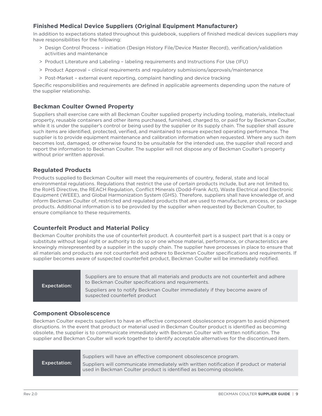# <span id="page-8-0"></span>**Finished Medical Device Suppliers (Original Equipment Manufacturer)**

In addition to expectations stated throughout this guidebook, suppliers of finished medical devices suppliers may have responsibilities for the following:

- > Design Control Process initiation (Design History File/Device Master Record), verification/validation activities and maintenance
- > Product Literature and Labeling labeling requirements and Instructions For Use (IFU)
- > Product Approval clinical requirements and regulatory submissions/approvals/maintenance
- > Post-Market external event reporting, complaint handling and device tracking

Specific responsibilities and requirements are defined in applicable agreements depending upon the nature of the supplier relationship.

#### <span id="page-8-1"></span>**Beckman Coulter Owned Property**

Suppliers shall exercise care with all Beckman Coulter supplied property including tooling, materials, intellectual property, reusable containers and other items purchased, furnished, charged to, or paid for by Beckman Coulter, while it is under the supplier's control or being used by the supplier or its supply chain. The supplier shall assure such items are identified, protected, verified, and maintained to ensure expected operating performance. The supplier is to provide equipment maintenance and calibration information when requested. Where any such item becomes lost, damaged, or otherwise found to be unsuitable for the intended use, the supplier shall record and report the information to Beckman Coulter. The supplier will not dispose any of Beckman Coulter's property without prior written approval.

#### <span id="page-8-2"></span>**Regulated Products**

Products supplied to Beckman Coulter will meet the requirements of country, federal, state and local environmental regulations. Regulations that restrict the use of certain products include, but are not limited to, the RoHS Directive, the REACH Regulation, Conflict Minerals (Dodd-Frank Act), Waste Electrical and Electronic Equipment (WEEE), and Global Harmonization System (GHS). Therefore, suppliers shall have knowledge of, and inform Beckman Coulter of, restricted and regulated products that are used to manufacture, process, or package products. Additional information is to be provided by the supplier when requested by Beckman Coulter, to ensure compliance to these requirements.

#### <span id="page-8-3"></span>**Counterfeit Product and Material Policy**

Beckman Coulter prohibits the use of counterfeit product. A counterfeit part is a suspect part that is a copy or substitute without legal right or authority to do so or one whose material, performance, or characteristics are knowingly misrepresented by a supplier in the supply chain. The supplier have processes in place to ensure that all materials and products are not counterfeit and adhere to Beckman Coulter specifications and requirements. If supplier becomes aware of suspected counterfeit product, Beckman Coulter will be immediately notified.

Expectation: Suppliers are to ensure that all materials and products are not counterfeit and adhere to Beckman Coulter specifications and requirements.

Suppliers are to notify Beckman Coulter immediately if they become aware of suspected counterfeit product

#### <span id="page-8-4"></span>**Component Obsolescence**

Beckman Coulter expects suppliers to have an effective component obsolescence program to avoid shipment disruptions. In the event that product or material used in Beckman Coulter product is identified as becoming obsolete, the supplier is to communicate immediately with Beckman Coulter with written notification. The supplier and Beckman Coulter will work together to identify acceptable alternatives for the discontinued item.

Expectation:

Suppliers will have an effective component obsolescence program.

Suppliers will communicate immediately with written notification if product or material used in Beckman Coulter product is identified as becoming obsolete.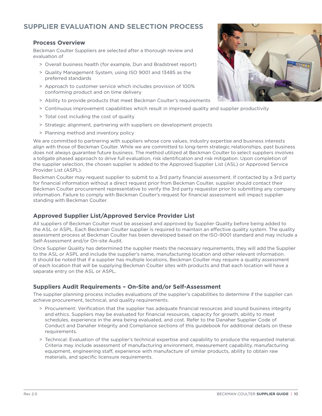# <span id="page-9-0"></span>**SUPPLIER EVALUATION AND SELECTION PROCESS**

#### <span id="page-9-1"></span>**Process Overview**

Beckman Coulter Suppliers are selected after a thorough review and evaluation of

- > Overall business health (for example, Dun and Bradstreet report)
- > Quality Management System, using ISO 9001 and 13485 as the preferred standards
- > Approach to customer service which includes provision of 100% conforming product and on time delivery
- > Ability to provide products that meet Beckman Coulter's requirements
- > Continuous improvement capabilities which result in improved quality and supplier productivity
- > Total cost including the cost of quality
- > Strategic alignment, partnering with suppliers on development projects
- > Planning method and inventory policy

We are committed to partnering with suppliers whose core values, industry expertise and business interests align with those of Beckman Coulter. While we are committed to long-term strategic relationships, past business does not always guarantee future business. The method utilized at Beckman Coulter to select suppliers involves a tollgate phased approach to drive full evaluation, risk identification and risk mitigation. Upon completion of the supplier selection, the chosen supplier is added to the Approved Supplier List (ASL) or Approved Service Provider List (ASPL).

Beckman Coulter may request supplier to submit to a 3rd party financial assessment. If contacted by a 3rd party for financial information without a direct request prior from Beckman Coulter, supplier should contact their Beckman Coulter procurement representative to verify the 3rd party requestor prior to submitting any company information. Failure to comply with Beckman Coulter's request for financial assessment will impact supplier standing with Beckman Coulter.

# <span id="page-9-2"></span>**Approved Supplier List/Approved Service Provider List**

All suppliers of Beckman Coulter must be assessed and approved by Supplier Quality before being added to the ASL or ASPL. Each Beckman Coulter supplier is required to maintain an effective quality system. The quality assessment process at Beckman Coulter has been developed based on the ISO-9001 standard and may include a Self-Assessment and/or On-site Audit.

Once Supplier Quality has determined the supplier meets the necessary requirements, they will add the Supplier to the ASL or ASPL and include the supplier's name, manufacturing location and other relevant information. It should be noted that if a supplier has multiple locations, Beckman Coulter may require a quality assessment of each location that will be supplying Beckman Coulter sites with products and that each location will have a separate entry on the ASL or ASPL.

#### <span id="page-9-3"></span>**Suppliers Audit Requirements – On-Site and/or Self-Assessment**

The supplier planning process includes evaluations of the supplier's capabilities to determine if the supplier can achieve procurement, technical, and quality requirements.

- > Procurement: Verification that the supplier has adequate financial resources and sound business integrity and ethics. Suppliers may be evaluated for financial resources, capacity for growth, ability to meet schedules, experience in the area being evaluated, and cost. Refer to the Danaher Supplier Code of Conduct and Danaher Integrity and Compliance sections of this guidebook for additional details on these requirements.
- > Technical: Evaluation of the supplier's technical expertise and capability to produce the requested material. Criteria may include assessment of manufacturing environment, measurement capability, manufacturing equipment, engineering staff, experience with manufacture of similar products, ability to obtain raw materials, and specific licensure requirements.

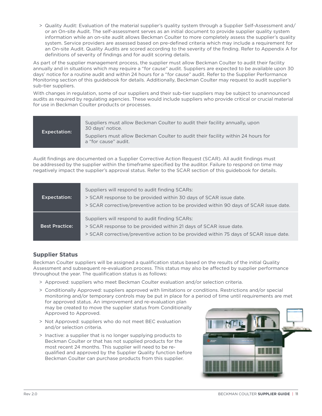> Quality Audit: Evaluation of the material supplier's quality system through a Supplier Self-Assessment and/ or an On-site Audit. The self-assessment serves as an initial document to provide supplier quality system information while an on-site audit allows Beckman Coulter to more completely assess the supplier's quality system. Service providers are assessed based on pre-defined criteria which may include a requirement for an On-site Audit. Quality Audits are scored according to the severity of the finding. Refer to Appendix A for definitions of severity of findings and for audit scoring details.

As part of the supplier management process, the supplier must allow Beckman Coulter to audit their facility annually and in situations which may require a "for cause" audit. Suppliers are expected to be available upon 30 days' notice for a routine audit and within 24 hours for a "for cause" audit. Refer to the Supplier Performance Monitoring section of this guidebook for details. Additionally, Beckman Coulter may request to audit supplier's sub-tier suppliers.

With changes in regulation, some of our suppliers and their sub-tier suppliers may be subject to unannounced audits as required by regulating agencies. These would include suppliers who provide critical or crucial material for use in Beckman Coulter products or processes.

| <b>Expectation:</b> | Suppliers must allow Beckman Coulter to audit their facility annually, upon<br>30 days' notice.          |
|---------------------|----------------------------------------------------------------------------------------------------------|
|                     | Suppliers must allow Beckman Coulter to audit their facility within 24 hours for<br>a "for cause" audit. |

Audit findings are documented on a Supplier Corrective Action Request (SCAR). All audit findings must be addressed by the supplier within the timeframe specified by the auditor. Failure to respond on time may negatively impact the supplier's approval status. Refer to the SCAR section of this guidebook for details.

| <b>Expectation:</b> | Suppliers will respond to audit finding SCARs:<br>> SCAR response to be provided within 30 days of SCAR issue date.<br>> SCAR corrective/preventive action to be provided within 90 days of SCAR issue date. |
|---------------------|--------------------------------------------------------------------------------------------------------------------------------------------------------------------------------------------------------------|
| Best Practice:      | Suppliers will respond to audit finding SCARs:<br>> SCAR response to be provided within 21 days of SCAR issue date.<br>> SCAR corrective/preventive action to be provided within 75 days of SCAR issue date. |

# <span id="page-10-0"></span>**Supplier Status**

Beckman Coulter suppliers will be assigned a qualification status based on the results of the initial Quality Assessment and subsequent re-evaluation process. This status may also be affected by supplier performance throughout the year. The qualification status is as follows:

- > Approved: suppliers who meet Beckman Coulter evaluation and/or selection criteria.
- > Conditionally Approved: suppliers approved with limitations or conditions. Restrictions and/or special monitoring and/or temporary controls may be put in place for a period of time until requirements are met for approved status. An improvement and re-evaluation plan may be created to move the supplier status from Conditionally Approved to Approved.
- > Not Approved: suppliers who do not meet BEC evaluation and/or selection criteria.
- > Inactive: a supplier that is no longer supplying products to Beckman Coulter or that has not supplied products for the most recent 24 months. This supplier will need to be requalified and approved by the Supplier Quality function before Beckman Coulter can purchase products from this supplier.

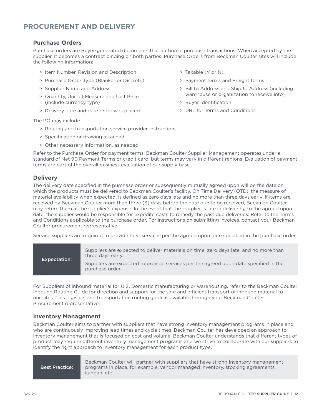# <span id="page-11-0"></span>**PROCUREMENT AND DELIVERY**

#### <span id="page-11-1"></span>**Purchase Orders**

Purchase orders are Buyer-generated documents that authorize purchase transactions. When accepted by the supplier, it becomes a contract binding on both parties. Purchase Orders from Beckman Coulter sites will include the following information:

> Taxable (Y or N)

> Buyer Identification

> Payment terms and Freight terms

> URL for Terms and Conditions

> Bill to Address and Ship to Address (including warehouse or organization to receive into)

- > Item Number, Revision and Description
- > Purchase Order Type (Blanket or Discrete)
- > Supplier Name and Address
- > Quantity, Unit of Measure and Unit Price (include currency type)
- > Delivery date and date order was placed

The PO may include:

- > Routing and transportation service provider instructions
- > Specification or drawing attached
- > Other necessary information, as needed

Refer to the Purchase Order for payment terms. Beckman Coulter Supplier Management operates under a standard of Net 90 Payment Terms or credit card, but terms may vary in different regions. Evaluation of payment terms are part of the overall business evaluation of our supply base.

#### <span id="page-11-2"></span>**Delivery**

The delivery date specified in the purchase order or subsequently mutually agreed upon will be the date on which the products must be delivered to Beckman Coulter's facility. On Time Delivery (OTD), the measure of material availability when expected, is defined as zero days late and no more than three days early. If items are received by Beckman Coulter more than three (3) days before the date due to be received, Beckman Coulter may return them at the supplier's expense. In the event that the supplier is late in delivering to the agreed upon date, the supplier would be responsible for expedite costs to remedy the past due deliveries. Refer to the Terms and Conditions applicable to the purchase order. For instructions on submitting invoices, contact your Beckman Coulter procurement representative.

Service suppliers are required to provide their services per the agreed upon date specified in the purchase order.

| <b>Expectation:</b> | Suppliers are expected to deliver materials on time; zero days late, and no more than<br>three days early. |
|---------------------|------------------------------------------------------------------------------------------------------------|
|                     | Suppliers are expected to provide services per the agreed upon date specified in the<br>purchase order.    |

For Suppliers of inbound material for U.S. Domestic manufacturing or warehousing, refer to the Beckman Coulter Inbound Routing Guide for direction and support for the safe and efficient transport of inbound material to our sites. This logistics and transportation routing guide is available through your Beckman Coulter Procurement representative.

#### <span id="page-11-3"></span>**Inventory Management**

Beckman Coulter aims to partner with suppliers that have strong inventory management programs in place and who are continuously improving lead times and cycle times. Beckman Coulter has developed an approach to inventory management that is focused on cost and volume. Beckman Coulter understands that different types of product may require different inventory management programs and we strive to collaborate with our suppliers to identify the right approach to inventory management for each product type.

Best Practice:

Beckman Coulter will partner with suppliers that have strong inventory management programs in place, for example, vendor managed inventory, stocking agreements, kanban, etc.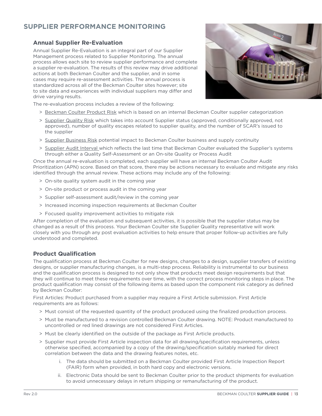# <span id="page-12-0"></span>**SUPPLIER PERFORMANCE MONITORING**

# <span id="page-12-1"></span>**Annual Supplier Re-Evaluation**

Annual Supplier Re-Evaluation is an integral part of our Supplier Management process related to Supplier Monitoring. The annual process allows each site to review supplier performance and complete a supplier re-evaluation. The results of this review may drive additional actions at both Beckman Coulter and the supplier, and in some cases may require re-assessment activities. The annual process is standardized across all of the Beckman Coulter sites however; site to site data and experiences with individual suppliers may differ and drive varying results.



The re-evaluation process includes a review of the following:

- > Beckman Coulter Product Risk which is based on an internal Beckman Coulter supplier categorization
- > Supplier Quality Risk which takes into account Supplier status (approved, conditionally approved, not approved), number of quality escapes related to supplier quality, and the number of SCAR's issued to the supplier
- > Supplier Business Risk potential impact to Beckman Coulter business and supply continuity
- > Supplier Audit Interval which reflects the last time that Beckman Coulter evaluated the Supplier's systems through either a Quality Self-Assessment or an On-site Quality or Process Audit

Once the annual re-evaluation is completed, each supplier will have an internal Beckman Coulter Audit Prioritization (APN) score. Based on that score, there may be actions necessary to evaluate and mitigate any risks identified through the annual review. These actions may include any of the following:

- > On-site quality system audit in the coming year
- > On-site product or process audit in the coming year
- > Supplier self-assessment audit/review in the coming year
- > Increased incoming inspection requirements at Beckman Coulter
- > Focused quality improvement activities to mitigate risk

After completion of the evaluation and subsequent activities, it is possible that the supplier status may be changed as a result of this process. Your Beckman Coulter site Supplier Quality representative will work closely with you through any post evaluation activities to help ensure that proper follow-up activities are fully understood and completed.

#### <span id="page-12-2"></span>**Product Qualification**

The qualification process at Beckman Coulter for new designs, changes to a design, supplier transfers of existing designs, or supplier manufacturing changes, is a multi-step process. Reliability is instrumental to our business and the qualification process is designed to not only show that products meet design requirements but that they will continue to meet these requirements over time, with the correct process monitoring steps in place. The product qualification may consist of the following items as based upon the component risk category as defined by Beckman Coulter:

First Articles: Product purchased from a supplier may require a First Article submission. First Article requirements are as follows:

- > Must consist of the requested quantity of the product produced using the finalized production process.
- > Must be manufactured to a revision controlled Beckman Coulter drawing. NOTE: Product manufactured to uncontrolled or red lined drawings are not considered First Articles.
- > Must be clearly identified on the outside of the package as First Article products.
- > Supplier must provide First Article inspection data for all drawing/specification requirements, unless otherwise specified, accompanied by a copy of the drawing/specification suitably marked for direct correlation between the data and the drawing features notes, etc.
	- i. The data should be submitted on a Beckman Coulter provided First Article Inspection Report (FAIR) form when provided, in both hard copy and electronic versions.
	- ii. Electronic Data should be sent to Beckman Coulter prior to the product shipments for evaluation to avoid unnecessary delays in return shipping or remanufacturing of the product.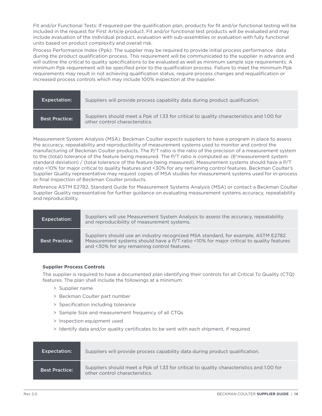Fit and/or Functional Tests: If required per the qualification plan, products for fit and/or functional testing will be included in the request for First Article product. Fit and/or functional test products will be evaluated and may include evaluation of the individual product, evaluation with sub-assemblies or evaluation with fully functional units based on product complexity and overall risk.

Process Performance Index (Ppk): The supplier may be required to provide initial process performance data during the product qualification process. This requirement will be communicated to the supplier in advance and will outline the critical to quality specifications to be evaluated as well as minimum sample size requirements. A minimum Ppk requirement will be specified prior to the qualification process. Failure to meet the minimum Ppk requirements may result in not achieving qualification status, require process changes and requalification or increased process controls which may include 100% inspection at the supplier.

| <b>Expectation:</b>   | Suppliers will provide process capability data during product qualification.                                               |
|-----------------------|----------------------------------------------------------------------------------------------------------------------------|
| <b>Best Practice:</b> | Suppliers should meet a Ppk of 1.33 for critical to quality characteristics and 1.00 for<br>other control characteristics. |

Measurement System Analysis (MSA): Beckman Coulter expects suppliers to have a program in place to assess the accuracy, repeatability and reproducibility of measurement systems used to monitor and control the manufacturing of Beckman Coulter products. The P/T ratio is the ratio of the precision of a measurement system to the (total) tolerance of the feature being measured. The P/T ratio is computed as: (6\*measurement system standard deviation) / (total tolerance of the feature being measured). Measurement systems should have a P/T ratio <10% for major critical to quality features and <30% for any remaining control features. Beckman Coulter's Supplier Quality representative may request copies of MSA studies for measurement systems used for in-process or final inspection of Beckman Coulter products.

Reference ASTM E2782, Standard Guide for Measurement Systems Analysis (MSA) or contact a Beckman Coulter Supplier Quality representative for further guidance on evaluating measurement systems accuracy, repeatability and reproducibility.

| <b>Expectation:</b>   | Suppliers will use Measurement System Analysis to assess the accuracy, repeatability<br>and reproducibility of measurement systems.                                                                                           |
|-----------------------|-------------------------------------------------------------------------------------------------------------------------------------------------------------------------------------------------------------------------------|
| <b>Best Practice:</b> | Suppliers should use an industry recognized MSA standard, for example, ASTM E2782.<br>Measurement systems should have a P/T ratio <10% for major critical to quality features<br>and <30% for any remaining control features. |

#### **Supplier Process Controls**

The supplier is required to have a documented plan identifying their controls for all Critical To Quality (CTQ) features. The plan shall include the followings at a minimum:

- > Supplier name
- > Beckman Coulter part number
- > Specification including tolerance
- > Sample Size and measurement frequency of all CTQs
- > Inspection equipment used
- > Identify data and/or quality certificates to be sent with each shipment, if required

| <b>Expectation:</b>   | Suppliers will provide process capability data during product qualification.                                               |
|-----------------------|----------------------------------------------------------------------------------------------------------------------------|
| <b>Best Practice:</b> | Suppliers should meet a Ppk of 1.33 for critical to quality characteristics and 1.00 for<br>other control characteristics. |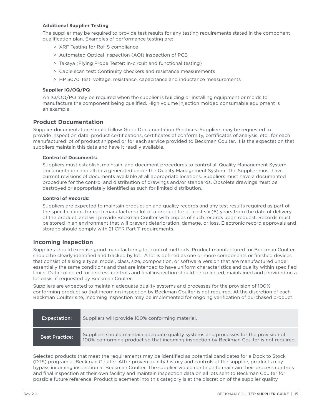#### **Additional Supplier Testing**

The supplier may be required to provide test results for any testing requirements stated in the component qualification plan. Examples of performance testing are:

- > XRF Testing for RoHS compliance
- > Automated Optical Inspection (AOI) inspection of PCB
- > Takaya (Flying Probe Tester: In-circuit and functional testing)
- > Cable scan test: Continuity checkers and resistance measurements
- > HP 3070 Test: voltage, resistance, capacitance and inductance measurements

#### **Supplier IQ/OQ/PQ**

An IQ/OQ/PQ may be required when the supplier is building or installing equipment or molds to manufacture the component being qualified. High volume injection molded consumable equipment is an example.

#### <span id="page-14-0"></span>**Product Documentation**

Supplier documentation should follow Good Documentation Practices. Suppliers may be requested to provide inspection data, product certifications, certificates of conformity, certificates of analysis, etc., for each manufactured lot of product shipped or for each service provided to Beckman Coulter. It is the expectation that suppliers maintain this data and have it readily available.

#### **Control of Documents:**

Suppliers must establish, maintain, and document procedures to control all Quality Management System documentation and all data generated under the Quality Management System. The Supplier must have current revisions of documents available at all appropriate locations. Suppliers must have a documented procedure for the control and distribution of drawings and/or standards. Obsolete drawings must be destroyed or appropriately identified as such for limited distribution.

#### **Control of Records:**

Suppliers are expected to maintain production and quality records and any test results required as part of the specifications for each manufactured lot of a product for at least six (6) years from the date of delivery of the product, and will provide Beckman Coulter with copies of such records upon request. Records must be stored in an environment that will prevent deterioration, damage, or loss. Electronic record approvals and storage should comply with 21 CFR Part 11 requirements.

#### <span id="page-14-1"></span>**Incoming Inspection**

Suppliers should exercise good manufacturing lot control methods. Product manufactured for Beckman Coulter should be clearly identified and tracked by lot. A lot is defined as one or more components or finished devices that consist of a single type, model, class, size, composition, or software version that are manufactured under essentially the same conditions and that are intended to have uniform characteristics and quality within specified limits. Data collected for process controls and final inspection should be collected, maintained and provided on a lot basis, if requested by Beckman Coulter.

Suppliers are expected to maintain adequate quality systems and processes for the provision of 100% conforming product so that incoming inspection by Beckman Coulter is not required. At the discretion of each Beckman Coulter site, incoming inspection may be implemented for ongoing verification of purchased product.

| Expectation:          | Suppliers will provide 100% conforming material.                                                                                                                                 |
|-----------------------|----------------------------------------------------------------------------------------------------------------------------------------------------------------------------------|
| <b>Best Practice:</b> | Suppliers should maintain adequate quality systems and processes for the provision of<br>100% conforming product so that incoming inspection by Beckman Coulter is not required. |

Selected products that meet the requirements may be identified as potential candidates for a Dock to Stock (DTS) program at Beckman Coulter. After proven quality history and controls at the supplier, products may bypass incoming inspection at Beckman Coulter. The supplier would continue to maintain their process controls and final inspection at their own facility and maintain inspection data on all lots sent to Beckman Coulter for possible future reference. Product placement into this category is at the discretion of the supplier quality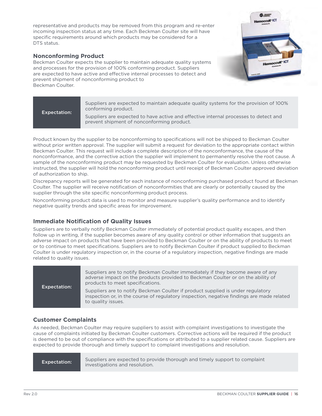representative and products may be removed from this program and re-enter incoming inspection status at any time. Each Beckman Coulter site will have specific requirements around which products may be considered for a DTS status.

## <span id="page-15-0"></span>**Nonconforming Product**

Beckman Coulter expects the supplier to maintain adequate quality systems and processes for the provision of 100% conforming product. Suppliers are expected to have active and effective internal processes to detect and prevent shipment of nonconforming product to Beckman Coulter.



| <b>Expectation:</b> | Suppliers are expected to maintain adequate quality systems for the provision of 100%<br>conforming product.                       |
|---------------------|------------------------------------------------------------------------------------------------------------------------------------|
|                     | Suppliers are expected to have active and effective internal processes to detect and<br>prevent shipment of nonconforming product. |

Product known by the supplier to be nonconforming to specifications will not be shipped to Beckman Coulter without prior written approval. The supplier will submit a request for deviation to the appropriate contact within Beckman Coulter. This request will include a complete description of the nonconformance, the cause of the nonconformance, and the corrective action the supplier will implement to permanently resolve the root cause. A sample of the nonconforming product may be requested by Beckman Coulter for evaluation. Unless otherwise instructed, the supplier will hold the nonconforming product until receipt of Beckman Coulter approved deviation of authorization to ship.

Discrepancy reports will be generated for each instance of nonconforming purchased product found at Beckman Coulter. The supplier will receive notification of nonconformities that are clearly or potentially caused by the supplier through the site specific nonconforming product process.

Nonconforming product data is used to monitor and measure supplier's quality performance and to identify negative quality trends and specific areas for improvement.

# <span id="page-15-1"></span>**Immediate Notification of Quality Issues**

Suppliers are to verbally notify Beckman Coulter immediately of potential product quality escapes, and then follow up in writing, if the supplier becomes aware of any quality control or other information that suggests an adverse impact on products that have been provided to Beckman Coulter or on the ability of products to meet or to continue to meet specifications. Suppliers are to notify Beckman Coulter if product supplied to Beckman Coulter is under regulatory inspection or, in the course of a regulatory inspection, negative findings are made related to quality issues.

| <b>Expectation:</b> | Suppliers are to notify Beckman Coulter immediately if they become aware of any<br>adverse impact on the products provided to Beckman Coulter or on the ability of<br>products to meet specifications. |
|---------------------|--------------------------------------------------------------------------------------------------------------------------------------------------------------------------------------------------------|
|                     | Suppliers are to notify Beckman Coulter if product supplied is under regulatory<br>inspection or, in the course of regulatory inspection, negative findings are made related<br>to quality issues.     |

# <span id="page-15-2"></span>**Customer Complaints**

As needed, Beckman Coulter may require suppliers to assist with complaint investigations to investigate the cause of complaints initiated by Beckman Coulter customers. Corrective actions will be required if the product is deemed to be out of compliance with the specifications or attributed to a supplier related cause. Suppliers are expected to provide thorough and timely support to complaint investigations and resolution.

Expectation: Suppliers are expected to provide thorough and timely support to complaint investigations and resolution.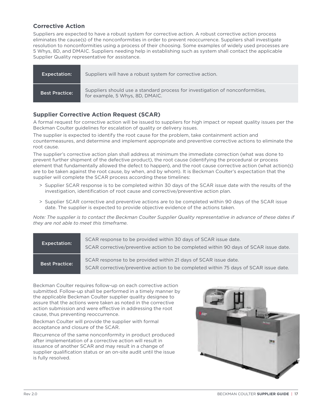# <span id="page-16-0"></span>**Corrective Action**

Suppliers are expected to have a robust system for corrective action. A robust corrective action process eliminates the cause(s) of the nonconformities in order to prevent reoccurrence. Suppliers shall investigate resolution to nonconformities using a process of their choosing. Some examples of widely used processes are 5 Whys, 8D, and DMAIC. Suppliers needing help in establishing such as system shall contact the applicable Supplier Quality representative for assistance.

| <b>Expectation:</b>   | Suppliers will have a robust system for corrective action.                                                       |
|-----------------------|------------------------------------------------------------------------------------------------------------------|
| <b>Best Practice:</b> | Suppliers should use a standard process for investigation of nonconformities.<br>for example, 5 Whys, 8D, DMAIC. |

## <span id="page-16-1"></span>**Supplier Corrective Action Request (SCAR)**

A formal request for corrective action will be issued to suppliers for high impact or repeat quality issues per the Beckman Coulter guidelines for escalation of quality or delivery issues.

The supplier is expected to identify the root cause for the problem, take containment action and countermeasures, and determine and implement appropriate and preventive corrective actions to eliminate the root cause.

The supplier's corrective action plan shall address at minimum the immediate correction (what was done to prevent further shipment of the defective product), the root cause (identifying the procedural or process element that fundamentally allowed the defect to happen), and the root cause corrective action (what action(s) are to be taken against the root cause, by when, and by whom). It is Beckman Coulter's expectation that the supplier will complete the SCAR process according these timelines:

- > Supplier SCAR response is to be completed within 30 days of the SCAR issue date with the results of the investigation, identification of root cause and corrective/preventive action plan.
- > Supplier SCAR corrective and preventive actions are to be completed within 90 days of the SCAR issue date. The supplier is expected to provide objective evidence of the actions taken.

*Note: The supplier is to contact the Beckman Coulter Supplier Quality representative in advance of these dates if they are not able to meet this timeframe.*

| <b>Expectation:</b>   | SCAR response to be provided within 30 days of SCAR issue date.<br>SCAR corrective/preventive action to be completed within 90 days of SCAR issue date. |
|-----------------------|---------------------------------------------------------------------------------------------------------------------------------------------------------|
| <b>Best Practice:</b> | SCAR response to be provided within 21 days of SCAR issue date.<br>SCAR corrective/preventive action to be completed within 75 days of SCAR issue date. |

Beckman Coulter requires follow-up on each corrective action submitted. Follow-up shall be performed in a timely manner by the applicable Beckman Coulter supplier quality designee to assure that the actions were taken as noted in the corrective action submission and were effective in addressing the root cause, thus preventing reoccurrence.

Beckman Coulter will provide the supplier with formal acceptance and closure of the SCAR.

Recurrence of the same nonconformity in product produced after implementation of a corrective action will result in issuance of another SCAR and may result in a change of supplier qualification status or an on-site audit until the issue is fully resolved.

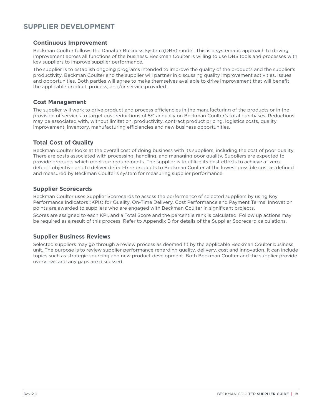# <span id="page-17-0"></span>**SUPPLIER DEVELOPMENT**

## <span id="page-17-1"></span>**Continuous Improvement**

Beckman Coulter follows the Danaher Business System (DBS) model. This is a systematic approach to driving improvement across all functions of the business. Beckman Coulter is willing to use DBS tools and processes with key suppliers to improve supplier performance.

The supplier is to establish ongoing programs intended to improve the quality of the products and the supplier's productivity. Beckman Coulter and the supplier will partner in discussing quality improvement activities, issues and opportunities. Both parties will agree to make themselves available to drive improvement that will benefit the applicable product, process, and/or service provided.

#### <span id="page-17-2"></span>**Cost Management**

The supplier will work to drive product and process efficiencies in the manufacturing of the products or in the provision of services to target cost reductions of 5% annually on Beckman Coulter's total purchases. Reductions may be associated with, without limitation, productivity, contract product pricing, logistics costs, quality improvement, inventory, manufacturing efficiencies and new business opportunities.

# <span id="page-17-3"></span>**Total Cost of Quality**

Beckman Coulter looks at the overall cost of doing business with its suppliers, including the cost of poor quality. There are costs associated with processing, handling, and managing poor quality. Suppliers are expected to provide products which meet our requirements. The supplier is to utilize its best efforts to achieve a "zerodefect" objective and to deliver defect-free products to Beckman Coulter at the lowest possible cost as defined and measured by Beckman Coulter's system for measuring supplier performance.

#### <span id="page-17-4"></span>**Supplier Scorecards**

Beckman Coulter uses Supplier Scorecards to assess the performance of selected suppliers by using Key Performance Indicators (KPIs) for Quality, On-Time Delivery, Cost Performance and Payment Terms. Innovation points are awarded to suppliers who are engaged with Beckman Coulter in significant projects.

Scores are assigned to each KPI, and a Total Score and the percentile rank is calculated. Follow up actions may be required as a result of this process. Refer to Appendix B for details of the Supplier Scorecard calculations.

#### <span id="page-17-5"></span>**Supplier Business Reviews**

Selected suppliers may go through a review process as deemed fit by the applicable Beckman Coulter business unit. The purpose is to review supplier performance regarding quality, delivery, cost and innovation. It can include topics such as strategic sourcing and new product development. Both Beckman Coulter and the supplier provide overviews and any gaps are discussed.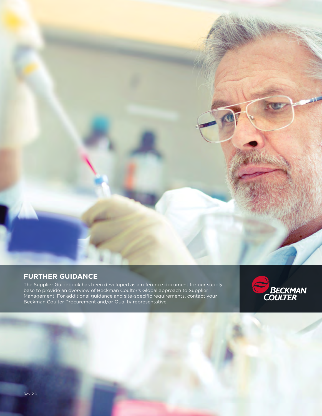

# <span id="page-18-0"></span>**FURTHER GUIDANCE**

The Supplier Guidebook has been developed as a reference document for our supply base to provide an overview of Beckman Coulter's Global approach to Supplier Management. For additional guidance and site-specific requirements, contact your Beckman Coulter Procurement and/or Quality representative.

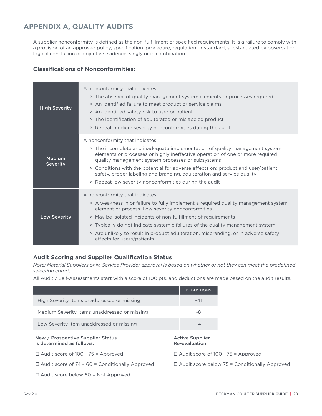# <span id="page-19-0"></span>**APPENDIX A, QUALITY AUDITS**

A supplier nonconformity is defined as the non-fulfillment of specified requirements. It is a failure to comply with a provision of an approved policy, specification, procedure, regulation or standard, substantiated by observation, logical conclusion or objective evidence, singly or in combination.

# **Classifications of Nonconformities:**

| <b>High Severity</b>      | A nonconformity that indicates<br>> The absence of quality management system elements or processes required<br>> An identified failure to meet product or service claims<br>> An identified safety risk to user or patient<br>> The identification of adulterated or mislabeled product<br>> Repeat medium severity nonconformities during the audit                                                                                                                        |
|---------------------------|-----------------------------------------------------------------------------------------------------------------------------------------------------------------------------------------------------------------------------------------------------------------------------------------------------------------------------------------------------------------------------------------------------------------------------------------------------------------------------|
| Medium<br><b>Severity</b> | A nonconformity that indicates<br>> The incomplete and inadequate implementation of quality management system<br>elements or processes or highly ineffective operation of one or more required<br>quality management system processes or subsystems<br>> Conditions with the potential for adverse effects on: product and user/patient<br>safety, proper labeling and branding, adulteration and service quality<br>> Repeat low severity nonconformities during the audit |
| <b>Low Severity</b>       | A nonconformity that indicates<br>> A weakness in or failure to fully implement a required quality management system<br>element or process. Low severity nonconformities<br>> May be isolated incidents of non-fulfillment of requirements<br>> Typically do not indicate systemic failures of the quality management system<br>> Are unlikely to result in product adulteration, misbranding, or in adverse safety<br>effects for users/patients                           |

# **Audit Scoring and Supplier Qualification Status**

*Note: Material Suppliers only. Service Provider approval is based on whether or not they can meet the predefined selection criteria.*

All Audit / Self-Assessments start with a score of 100 pts. and deductions are made based on the audit results.

|                                                                | <b>DEDUCTIONS</b>                                    |
|----------------------------------------------------------------|------------------------------------------------------|
| High Severity Items unaddressed or missing                     | -41                                                  |
| Medium Severity Items unaddressed or missing                   | -8                                                   |
| Low Severity Item unaddressed or missing                       | $-4$                                                 |
| New / Prospective Supplier Status<br>is determined as follows: | <b>Active Supplier</b><br>Re-evaluation              |
| $\Box$ Audit score of 100 - 75 = Approved                      | $\Box$ Audit score of 100 - 75 = Approved            |
| $\Box$ Audit score of 74 - 60 = Conditionally Approved         | $\Box$ Audit score below 75 = Conditionally Approved |
| $\Box$ Audit score below 60 = Not Approved                     |                                                      |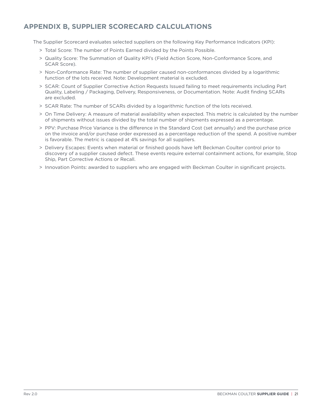# <span id="page-20-0"></span>**APPENDIX B, SUPPLIER SCORECARD CALCULATIONS**

The Supplier Scorecard evaluates selected suppliers on the following Key Performance Indicators (KPI):

- > Total Score: The number of Points Earned divided by the Points Possible.
- > Quality Score: The Summation of Quality KPI's (Field Action Score, Non-Conformance Score, and SCAR Score).
- > Non-Conformance Rate: The number of supplier caused non-conformances divided by a logarithmic function of the lots received. Note: Development material is excluded.
- > SCAR: Count of Supplier Corrective Action Requests Issued failing to meet requirements including Part Quality, Labeling / Packaging, Delivery, Responsiveness, or Documentation. Note: Audit finding SCARs are excluded.
- > SCAR Rate: The number of SCARs divided by a logarithmic function of the lots received.
- > On Time Delivery: A measure of material availability when expected. This metric is calculated by the number of shipments without issues divided by the total number of shipments expressed as a percentage.
- > PPV: Purchase Price Variance is the difference in the Standard Cost (set annually) and the purchase price on the invoice and/or purchase order expressed as a percentage reduction of the spend. A positive number is favorable. The metric is capped at 4% savings for all suppliers.
- > Delivery Escapes: Events when material or finished goods have left Beckman Coulter control prior to discovery of a supplier caused defect. These events require external containment actions, for example, Stop Ship, Part Corrective Actions or Recall.
- > Innovation Points: awarded to suppliers who are engaged with Beckman Coulter in significant projects.